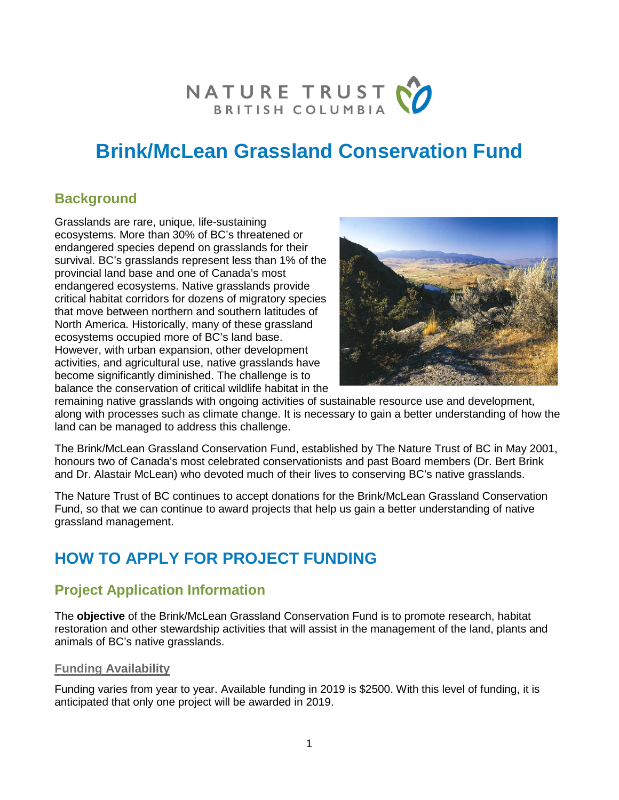

# **Brink/McLean Grassland Conservation Fund**

# **Background**

Grasslands are rare, unique, life-sustaining ecosystems. More than 30% of BC's threatened or endangered species depend on grasslands for their survival. BC's grasslands represent less than 1% of the provincial land base and one of Canada's most endangered ecosystems. Native grasslands provide critical habitat corridors for dozens of migratory species that move between northern and southern latitudes of North America. Historically, many of these grassland ecosystems occupied more of BC's land base. However, with urban expansion, other development activities, and agricultural use, native grasslands have become significantly diminished. The challenge is to balance the conservation of critical wildlife habitat in the



remaining native grasslands with ongoing activities of sustainable resource use and development, along with processes such as climate change. It is necessary to gain a better understanding of how the land can be managed to address this challenge.

The Brink/McLean Grassland Conservation Fund, established by The Nature Trust of BC in May 2001, honours two of Canada's most celebrated conservationists and past Board members (Dr. Bert Brink and Dr. Alastair McLean) who devoted much of their lives to conserving BC's native grasslands.

The Nature Trust of BC continues to accept donations for the Brink/McLean Grassland Conservation Fund, so that we can continue to award projects that help us gain a better understanding of native grassland management.

# **HOW TO APPLY FOR PROJECT FUNDING**

# **Project Application Information**

The **objective** of the Brink/McLean Grassland Conservation Fund is to promote research, habitat restoration and other stewardship activities that will assist in the management of the land, plants and animals of BC's native grasslands.

#### **Funding Availability**

Funding varies from year to year. Available funding in 2019 is \$2500. With this level of funding, it is anticipated that only one project will be awarded in 2019.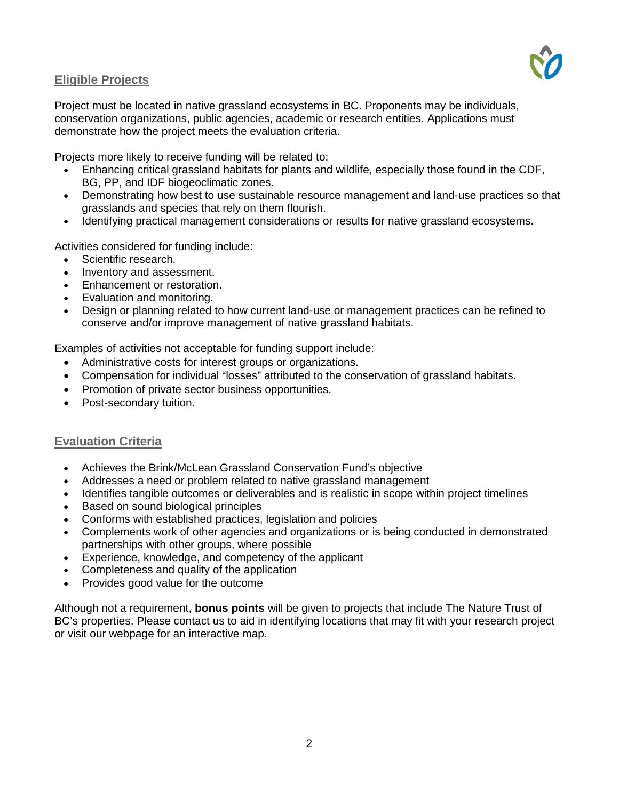#### **Eligible Projects**



Project must be located in native grassland ecosystems in BC. Proponents may be individuals, conservation organizations, public agencies, academic or research entities. Applications must demonstrate how the project meets the evaluation criteria.

Projects more likely to receive funding will be related to:

- Enhancing critical grassland habitats for plants and wildlife, especially those found in the CDF, BG, PP, and IDF biogeoclimatic zones.
- Demonstrating how best to use sustainable resource management and land-use practices so that grasslands and species that rely on them flourish.
- Identifying practical management considerations or results for native grassland ecosystems.

Activities considered for funding include:

- Scientific research.
- Inventory and assessment.
- Enhancement or restoration.
- Evaluation and monitoring.
- Design or planning related to how current land-use or management practices can be refined to conserve and/or improve management of native grassland habitats.

Examples of activities not acceptable for funding support include:

- Administrative costs for interest groups or organizations.
- Compensation for individual "losses" attributed to the conservation of grassland habitats.
- Promotion of private sector business opportunities.
- Post-secondary tuition.

#### **Evaluation Criteria**

- Achieves the Brink/McLean Grassland Conservation Fund's objective
- Addresses a need or problem related to native grassland management
- Identifies tangible outcomes or deliverables and is realistic in scope within project timelines
- Based on sound biological principles
- Conforms with established practices, legislation and policies
- Complements work of other agencies and organizations or is being conducted in demonstrated partnerships with other groups, where possible
- Experience, knowledge, and competency of the applicant
- Completeness and quality of the application
- Provides good value for the outcome

Although not a requirement, **bonus points** will be given to projects that include The Nature Trust of BC's properties. Please contact us to aid in identifying locations that may fit with your research project or visit our webpage for an interactive map.